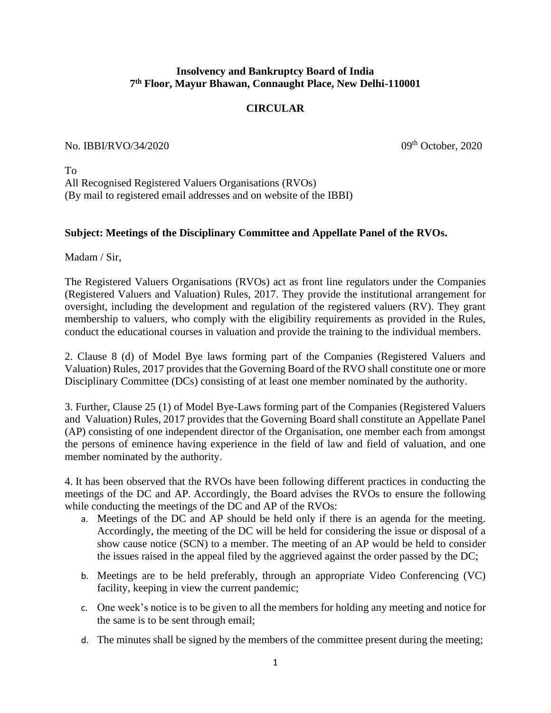## **Insolvency and Bankruptcy Board of India 7 th Floor, Mayur Bhawan, Connaught Place, New Delhi-110001**

## **CIRCULAR**

## No. IBBI/RVO/34/2020 09th October, 2020

To All Recognised Registered Valuers Organisations (RVOs) (By mail to registered email addresses and on website of the IBBI)

## **Subject: Meetings of the Disciplinary Committee and Appellate Panel of the RVOs.**

Madam / Sir,

The Registered Valuers Organisations (RVOs) act as front line regulators under the Companies (Registered Valuers and Valuation) Rules, 2017. They provide the institutional arrangement for oversight, including the development and regulation of the registered valuers (RV). They grant membership to valuers, who comply with the eligibility requirements as provided in the Rules, conduct the educational courses in valuation and provide the training to the individual members.

2. Clause 8 (d) of Model Bye laws forming part of the Companies (Registered Valuers and Valuation) Rules, 2017 provides that the Governing Board of the RVO shall constitute one or more Disciplinary Committee (DCs) consisting of at least one member nominated by the authority.

3. Further, Clause 25 (1) of Model Bye-Laws forming part of the Companies (Registered Valuers and Valuation) Rules, 2017 provides that the Governing Board shall constitute an Appellate Panel (AP) consisting of one independent director of the Organisation, one member each from amongst the persons of eminence having experience in the field of law and field of valuation, and one member nominated by the authority.

4. It has been observed that the RVOs have been following different practices in conducting the meetings of the DC and AP. Accordingly, the Board advises the RVOs to ensure the following while conducting the meetings of the DC and AP of the RVOs:

- a. Meetings of the DC and AP should be held only if there is an agenda for the meeting. Accordingly, the meeting of the DC will be held for considering the issue or disposal of a show cause notice (SCN) to a member. The meeting of an AP would be held to consider the issues raised in the appeal filed by the aggrieved against the order passed by the DC;
- b. Meetings are to be held preferably, through an appropriate Video Conferencing (VC) facility, keeping in view the current pandemic;
- c. One week's notice is to be given to all the members for holding any meeting and notice for the same is to be sent through email;
- d. The minutes shall be signed by the members of the committee present during the meeting;